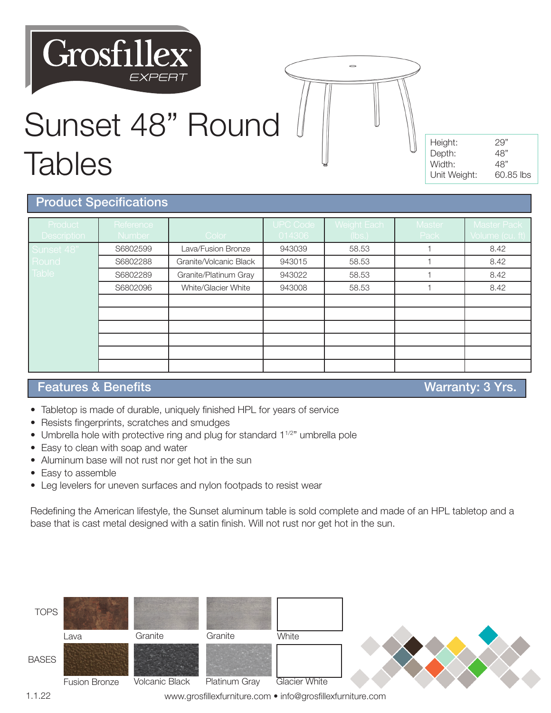# **Grosfillex**



| Height:      | 29"       |
|--------------|-----------|
| Depth:       | 48"       |
| Width:       | 48"       |
| Unit Weight: | 60.85 lbs |

#### Product Specifications

**Tables** 

| Product<br><b>Description</b> | Reference<br>Number | Color                  | <b>UPC Code</b><br>014306 | Weight Each<br>(lbs.) | Master<br>Pack | <b>Master Pack</b><br>Volume (cu. ft), |
|-------------------------------|---------------------|------------------------|---------------------------|-----------------------|----------------|----------------------------------------|
| Sunset 48"                    | S6802599            | Lava/Fusion Bronze     | 943039                    | 58.53                 |                | 8.42                                   |
| Round                         | S6802288            | Granite/Volcanic Black | 943015                    | 58.53                 |                | 8.42                                   |
| Table                         | S6802289            | Granite/Platinum Gray  | 943022                    | 58.53                 |                | 8.42                                   |
|                               | S6802096            | White/Glacier White    | 943008                    | 58.53                 |                | 8.42                                   |
|                               |                     |                        |                           |                       |                |                                        |
|                               |                     |                        |                           |                       |                |                                        |
|                               |                     |                        |                           |                       |                |                                        |
|                               |                     |                        |                           |                       |                |                                        |
|                               |                     |                        |                           |                       |                |                                        |
|                               |                     |                        |                           |                       |                |                                        |

### Features & Benefits **Warranty: 3 Yrs.**

- Tabletop is made of durable, uniquely finished HPL for years of service
- Resists fingerprints, scratches and smudges
- Umbrella hole with protective ring and plug for standard 1<sup>1/2"</sup> umbrella pole
- Easy to clean with soap and water
- Aluminum base will not rust nor get hot in the sun
- Easy to assemble
- Leg levelers for uneven surfaces and nylon footpads to resist wear

Redefining the American lifestyle, the Sunset aluminum table is sold complete and made of an HPL tabletop and a base that is cast metal designed with a satin finish. Will not rust nor get hot in the sun.



www.grosfillexfurniture.com • info@grosfillexfurniture.com